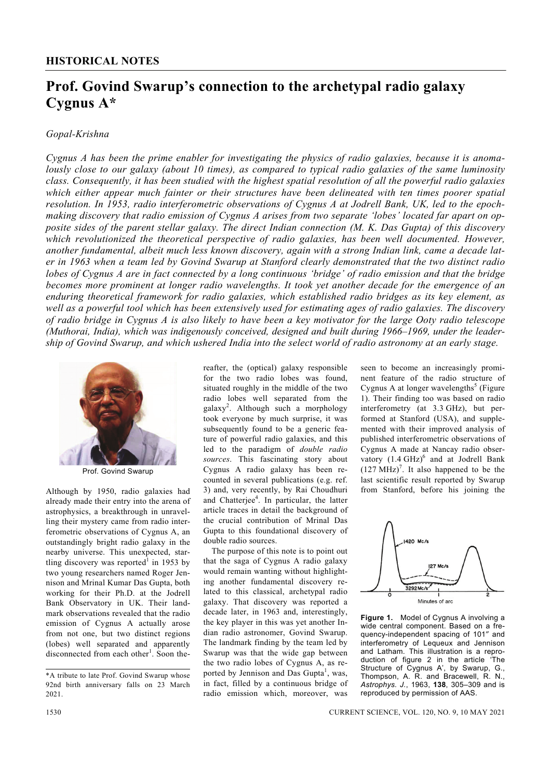## **Prof. Govind Swarup's connection to the archetypal radio galaxy Cygnus A\***

## *Gopal-Krishna*

*Cygnus A has been the prime enabler for investigating the physics of radio galaxies, because it is anomalously close to our galaxy (about 10 times), as compared to typical radio galaxies of the same luminosity class. Consequently, it has been studied with the highest spatial resolution of all the powerful radio galaxies which either appear much fainter or their structures have been delineated with ten times poorer spatial resolution. In 1953, radio interferometric observations of Cygnus A at Jodrell Bank, UK, led to the epochmaking discovery that radio emission of Cygnus A arises from two separate 'lobes' located far apart on opposite sides of the parent stellar galaxy. The direct Indian connection (M. K. Das Gupta) of this discovery which revolutionized the theoretical perspective of radio galaxies, has been well documented. However, another fundamental, albeit much less known discovery, again with a strong Indian link, came a decade later in 1963 when a team led by Govind Swarup at Stanford clearly demonstrated that the two distinct radio lobes of Cygnus A are in fact connected by a long continuous 'bridge' of radio emission and that the bridge becomes more prominent at longer radio wavelengths. It took yet another decade for the emergence of an enduring theoretical framework for radio galaxies, which established radio bridges as its key element, as well as a powerful tool which has been extensively used for estimating ages of radio galaxies. The discovery of radio bridge in Cygnus A is also likely to have been a key motivator for the large Ooty radio telescope (Muthorai, India), which was indigenously conceived, designed and built during 1966–1969, under the leadership of Govind Swarup, and which ushered India into the select world of radio astronomy at an early stage.* 



Prof. Govind Swarup

Although by 1950, radio galaxies had already made their entry into the arena of astrophysics, a breakthrough in unravelling their mystery came from radio interferometric observations of Cygnus A, an outstandingly bright radio galaxy in the nearby universe. This unexpected, startling discovery was reported<sup>1</sup> in 1953 by two young researchers named Roger Jennison and Mrinal Kumar Das Gupta, both working for their Ph.D. at the Jodrell Bank Observatory in UK. Their landmark observations revealed that the radio emission of Cygnus A actually arose from not one, but two distinct regions (lobes) well separated and apparently disconnected from each other<sup>1</sup>. Soon thereafter, the (optical) galaxy responsible for the two radio lobes was found, situated roughly in the middle of the two radio lobes well separated from the galaxy<sup>2</sup> . Although such a morphology took everyone by much surprise, it was subsequently found to be a generic feature of powerful radio galaxies, and this led to the paradigm of *double radio sources*. This fascinating story about Cygnus A radio galaxy has been recounted in several publications (e.g. ref. 3) and, very recently, by Rai Choudhuri and Chatterjee<sup>4</sup>. In particular, the latter article traces in detail the background of the crucial contribution of Mrinal Das Gupta to this foundational discovery of double radio sources.

 The purpose of this note is to point out that the saga of Cygnus A radio galaxy would remain wanting without highlighting another fundamental discovery related to this classical, archetypal radio galaxy. That discovery was reported a decade later, in 1963 and, interestingly, the key player in this was yet another Indian radio astronomer, Govind Swarup. The landmark finding by the team led by Swarup was that the wide gap between the two radio lobes of Cygnus A, as reported by Jennison and Das Gupta<sup>1</sup>, was, in fact, filled by a continuous bridge of radio emission which, moreover, was

seen to become an increasingly prominent feature of the radio structure of Cygnus A at longer wavelengths<sup>5</sup> (Figure 1). Their finding too was based on radio interferometry (at 3.3 GHz), but performed at Stanford (USA), and supplemented with their improved analysis of published interferometric observations of Cygnus A made at Nancay radio observatory  $(1.4 \text{ GHz})^6$  and at Jodrell Bank  $(127 \text{ MHz})^7$ . It also happened to be the last scientific result reported by Swarup from Stanford, before his joining the



**Figure 1.** Model of Cygnus A involving a wide central component. Based on a frequency-independent spacing of 101″ and interferometry of Lequeux and Jennison and Latham. This illustration is a reproduction of figure 2 in the article 'The Structure of Cygnus A', by Swarup, G., Thompson, A. R. and Bracewell, R. N., *Astrophys. J.*, 1963, **138**, 305–309 and is reproduced by permission of AAS.

<sup>\*</sup>A tribute to late Prof. Govind Swarup whose 92nd birth anniversary falls on 23 March 2021.